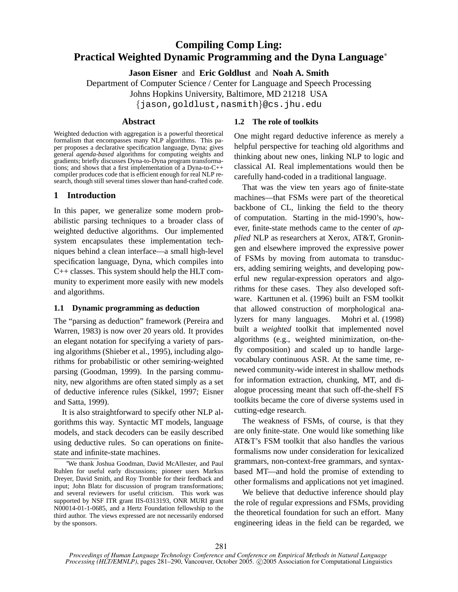# **Compiling Comp Ling: Practical Weighted Dynamic Programming and the Dyna Language**<sup>∗</sup>

**Jason Eisner** and **Eric Goldlust** and **Noah A. Smith**

Department of Computer Science / Center for Language and Speech Processing

Johns Hopkins University, Baltimore, MD 21218 USA

{jason,goldlust,nasmith}@cs.jhu.edu

### **Abstract**

Weighted deduction with aggregation is a powerful theoretical formalism that encompasses many NLP algorithms. This paper proposes a declarative specification language, Dyna; gives general *agenda-based* algorithms for computing weights and gradients; briefly discusses Dyna-to-Dyna program transformations; and shows that a first implementation of a Dyna-to-C++ compiler produces code that is efficient enough for real NLP research, though still several times slower than hand-crafted code.

## **1 Introduction**

In this paper, we generalize some modern probabilistic parsing techniques to a broader class of weighted deductive algorithms. Our implemented system encapsulates these implementation techniques behind a clean interface—a small high-level specification language, Dyna, which compiles into C++ classes. This system should help the HLT community to experiment more easily with new models and algorithms.

### **1.1 Dynamic programming as deduction**

The "parsing as deduction" framework (Pereira and Warren, 1983) is now over 20 years old. It provides an elegant notation for specifying a variety of parsing algorithms (Shieber et al., 1995), including algorithms for probabilistic or other semiring-weighted parsing (Goodman, 1999). In the parsing community, new algorithms are often stated simply as a set of deductive inference rules (Sikkel, 1997; Eisner and Satta, 1999).

It is also straightforward to specify other NLP algorithms this way. Syntactic MT models, language models, and stack decoders can be easily described using deductive rules. So can operations on finitestate and infinite-state machines.

# **1.2 The role of toolkits**

One might regard deductive inference as merely a helpful perspective for teaching old algorithms and thinking about new ones, linking NLP to logic and classical AI. Real implementations would then be carefully hand-coded in a traditional language.

That was the view ten years ago of finite-state machines—that FSMs were part of the theoretical backbone of CL, linking the field to the theory of computation. Starting in the mid-1990's, however, finite-state methods came to the center of *applied* NLP as researchers at Xerox, AT&T, Groningen and elsewhere improved the expressive power of FSMs by moving from automata to transducers, adding semiring weights, and developing powerful new regular-expression operators and algorithms for these cases. They also developed software. Karttunen et al. (1996) built an FSM toolkit that allowed construction of morphological analyzers for many languages. Mohri et al. (1998) built a *weighted* toolkit that implemented novel algorithms (e.g., weighted minimization, on-thefly composition) and scaled up to handle largevocabulary continuous ASR. At the same time, renewed community-wide interest in shallow methods for information extraction, chunking, MT, and dialogue processing meant that such off-the-shelf FS toolkits became the core of diverse systems used in cutting-edge research.

The weakness of FSMs, of course, is that they are only finite-state. One would like something like AT&T's FSM toolkit that also handles the various formalisms now under consideration for lexicalized grammars, non-context-free grammars, and syntaxbased MT—and hold the promise of extending to other formalisms and applications not yet imagined.

We believe that deductive inference should play the role of regular expressions and FSMs, providing the theoretical foundation for such an effort. Many engineering ideas in the field can be regarded, we

<sup>∗</sup>We thank Joshua Goodman, David McAllester, and Paul Ruhlen for useful early discussions; pioneer users Markus Dreyer, David Smith, and Roy Tromble for their feedback and input; John Blatz for discussion of program transformations; and several reviewers for useful criticism. This work was supported by NSF ITR grant IIS-0313193, ONR MURI grant N00014-01-1-0685, and a Hertz Foundation fellowship to the third author. The views expressed are not necessarily endorsed by the sponsors.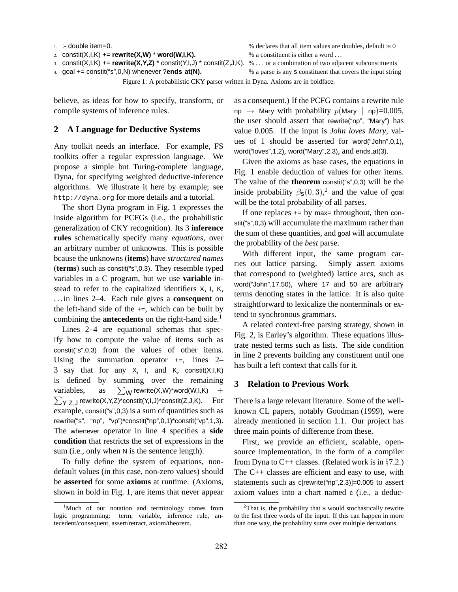```
2. constit(X, I, K) += rewrite(X, W) * word(W, I, K). % a constituent is either a word ...
```
3. constit(X,I,K) += **rewrite(X,Y,Z)** \* constit(Y,I,J) \* constit(Z,J,K). % ... or a combination of two adjacent subconstituents

1. :- double item=0. % declares that all item values are doubles, default is 0

4. goal += constit("s",0,N) whenever ?**ends at(N).** % a parse is any s constituent that covers the input string

Figure 1: A probabilistic CKY parser written in Dyna. Axioms are in boldface.

believe, as ideas for how to specify, transform, or compile systems of inference rules.

### **2 A Language for Deductive Systems**

Any toolkit needs an interface. For example, FS toolkits offer a regular expression language. We propose a simple but Turing-complete language, Dyna, for specifying weighted deductive-inference algorithms. We illustrate it here by example; see http://dyna.org for more details and a tutorial.

The short Dyna program in Fig. 1 expresses the inside algorithm for PCFGs (i.e., the probabilistic generalization of CKY recognition). Its 3 **inference rules** schematically specify many *equations*, over an arbitrary number of unknowns. This is possible bcause the unknowns (**items**) have *structured names* (**terms**) such as constit("s",0,3). They resemble typed variables in a C program, but we use **variable** instead to refer to the capitalized identifiers X, I, K, . . . in lines 2–4. Each rule gives a **consequent** on the left-hand side of the  $+=$ , which can be built by combining the **antecedents** on the right-hand side.<sup>1</sup>

Lines 2–4 are equational schemas that specify how to compute the value of items such as constit("s",0,3) from the values of other items. Using the summation operator  $+=$ , lines 2– 3 say that for any  $X$ ,  $I$ , and  $K$ , constit $(X, I, K)$ is defined by summing over the remaining variables, as  $\sum_{\mathsf{Y},\mathsf{Z},\mathsf{J}}$  rewrite(X,Y,Z)\*constit(Y,I,J)\*constit(Z,J,K).  $\;\;\;\text{For}$  $\sum_{W}$  rewrite(X,W)\*word(W,I,K) + example, constit("s",0,3) is a sum of quantities such as rewrite("s", "np", "vp")\*constit("np",0,1)\*constit("vp",1,3). The whenever operator in line 4 specifies a **side condition** that restricts the set of expressions in the sum (i.e., only when N is the sentence length).

To fully define the system of equations, nondefault values (in this case, non-zero values) should be **asserted** for some **axioms** at runtime. (Axioms, shown in bold in Fig. 1, are items that never appear as a consequent.) If the PCFG contains a rewrite rule  $np \rightarrow$  Mary with probability  $p(Mary \mid np)=0.005$ , the user should assert that rewrite("np", "Mary") has value 0.005. If the input is *John loves Mary*, values of 1 should be asserted for word("John",0,1), word("loves",1,2), word("Mary",2,3), and ends at(3).

Given the axioms as base cases, the equations in Fig. 1 enable deduction of values for other items. The value of the **theorem** constit("s",0,3) will be the inside probability  $\beta$ <sub>S</sub> $(0,3)$ ,<sup>2</sup> and the value of goal will be the total probability of all parses.

If one replaces  $+=$  by max= throughout, then constit("s",0,3) will accumulate the maximum rather than the sum of these quantities, and goal will accumulate the probability of the *best* parse.

With different input, the same program carries out lattice parsing. Simply assert axioms that correspond to (weighted) lattice arcs, such as word("John",17,50), where 17 and 50 are arbitrary terms denoting states in the lattice. It is also quite straightforward to lexicalize the nonterminals or extend to synchronous grammars.

A related context-free parsing strategy, shown in Fig. 2, is Earley's algorithm. These equations illustrate nested terms such as lists. The side condition in line 2 prevents building any constituent until one has built a left context that calls for it.

### **3 Relation to Previous Work**

There is a large relevant literature. Some of the wellknown CL papers, notably Goodman (1999), were already mentioned in section 1.1. Our project has three main points of difference from these.

First, we provide an efficient, scalable, opensource implementation, in the form of a compiler from Dyna to C++ classes. (Related work is in  $\S$ 7.2.) The C++ classes are efficient and easy to use, with statements such as c[rewrite("np",2,3)]=0.005 to assert axiom values into a chart named c (i.e., a deduc-

<sup>&</sup>lt;sup>1</sup>Much of our notation and terminology comes from logic programming: term, variable, inference rule, antecedent/consequent, assert/retract, axiom/theorem.

 $2$ That is, the probability that  $s$  would stochastically rewrite to the first three words of the input. If this can happen in more than one way, the probability sums over multiple derivations.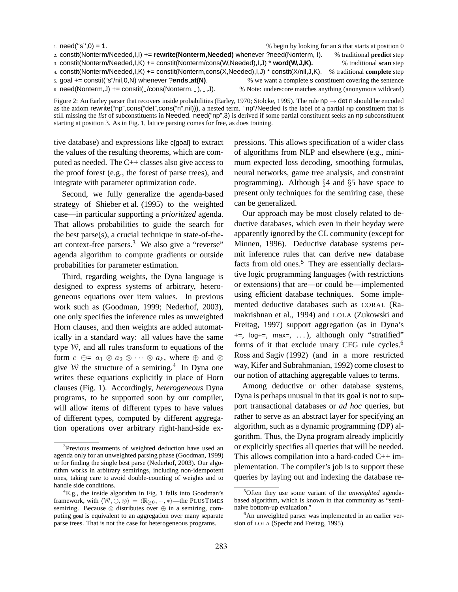| 1. $need("s",0) = 1$ .                                                                      |                                                                 | % begin by looking for an <b>s</b> that starts at position 0 |
|---------------------------------------------------------------------------------------------|-----------------------------------------------------------------|--------------------------------------------------------------|
| 2. constit(Nonterm/Needed, I, I) += rewrite(Nonterm, Needed) whenever ?need(Nonterm, I).    |                                                                 | % traditional <b>predict</b> step                            |
| 3. constit(Nonterm/Needed,I,K) += constit(Nonterm/cons(W,Needed),I,J) * word(W,J,K).        |                                                                 | % traditional <b>scan</b> step                               |
| 4. constit(Nonterm/Needed,I,K) += constit(Nonterm,cons(X,Needed),I,J) * constit(X/nil,J,K). |                                                                 | % traditional <b>complete</b> step                           |
| 5. goal $+=$ constit("s"/nil,0,N) whenever ?ends_at(N).                                     | % we want a complete <b>s</b> constituent covering the sentence |                                                              |
| 6. need(Nonterm, J) += constit( $\angle$ /cons(Nonterm, $\Box$ ), $\Box$ , J).              | % Note: underscore matches anything (anonymous wildcard)        |                                                              |

Figure 2: An Earley parser that recovers inside probabilities (Earley, 1970; Stolcke, 1995). The rule  $np \rightarrow det n$  should be encoded as the axiom rewrite("np",cons("det",cons("n",nil))), a nested term. "np"/Needed is the label of a partial np constituent that is still missing the *list* of subconstituents in Needed. need("np",3) is derived if some partial constituent seeks an np subconstituent starting at position 3. As in Fig. 1, lattice parsing comes for free, as does training.

tive database) and expressions like c[goal] to extract the values of the resulting theorems, which are computed as needed. The C++ classes also give access to the proof forest (e.g., the forest of parse trees), and integrate with parameter optimization code.

Second, we fully generalize the agenda-based strategy of Shieber et al. (1995) to the weighted case—in particular supporting a *prioritized* agenda. That allows probabilities to guide the search for the best parse(s), a crucial technique in state-of-theart context-free parsers.<sup>3</sup> We also give a "reverse" agenda algorithm to compute gradients or outside probabilities for parameter estimation.

Third, regarding weights, the Dyna language is designed to express systems of arbitrary, heterogeneous equations over item values. In previous work such as (Goodman, 1999; Nederhof, 2003), one only specifies the inference rules as unweighted Horn clauses, and then weights are added automatically in a standard way: all values have the same type W, and all rules transform to equations of the form  $c \oplus a_1 \otimes a_2 \otimes \cdots \otimes a_k$ , where  $\oplus$  and  $\otimes$ give W the structure of a semiring.<sup>4</sup> In Dyna one writes these equations explicitly in place of Horn clauses (Fig. 1). Accordingly, *heterogeneous* Dyna programs, to be supported soon by our compiler, will allow items of different types to have values of different types, computed by different aggregation operations over arbitrary right-hand-side expressions. This allows specification of a wider class of algorithms from NLP and elsewhere (e.g., minimum expected loss decoding, smoothing formulas, neural networks, game tree analysis, and constraint programming). Although §4 and §5 have space to present only techniques for the semiring case, these can be generalized.

Our approach may be most closely related to deductive databases, which even in their heyday were apparently ignored by the CL community (except for Minnen, 1996). Deductive database systems permit inference rules that can derive new database facts from old ones.<sup>5</sup> They are essentially declarative logic programming languages (with restrictions or extensions) that are—or could be—implemented using efficient database techniques. Some implemented deductive databases such as CORAL (Ramakrishnan et al., 1994) and LOLA (Zukowski and Freitag, 1997) support aggregation (as in Dyna's +=, log+=, max=, . . . ), although only "stratified" forms of it that exclude unary CFG rule cycles.<sup>6</sup> Ross and Sagiv (1992) (and in a more restricted way, Kifer and Subrahmanian, 1992) come closest to our notion of attaching aggregable values to terms.

Among deductive or other database systems, Dyna is perhaps unusual in that its goal is not to support transactional databases or *ad hoc* queries, but rather to serve as an abstract layer for specifying an algorithm, such as a dynamic programming (DP) algorithm. Thus, the Dyna program already implicitly or explicitly specifies all queries that will be needed. This allows compilation into a hard-coded C++ implementation. The compiler's job is to support these queries by laying out and indexing the database re-

<sup>&</sup>lt;sup>3</sup>Previous treatments of weighted deduction have used an agenda only for an unweighted parsing phase (Goodman, 1999) or for finding the single best parse (Nederhof, 2003). Our algorithm works in arbitrary semirings, including non-idempotent ones, taking care to avoid double-counting of weights and to handle side conditions.

 ${}^{4}$ E.g., the inside algorithm in Fig. 1 falls into Goodman's framework, with  $\langle W, \overline{\oplus}, \otimes \rangle = \langle \mathbb{R}_{\geq 0}, +, \ast \rangle$ —the PLUSTIMES semiring. Because  $\otimes$  distributes over  $\oplus$  in a semiring, computing goal is equivalent to an aggregation over many separate parse trees. That is not the case for heterogeneous programs.

<sup>5</sup>Often they use some variant of the *unweighted* agendabased algorithm, which is known in that community as "seminaive bottom-up evaluation."

 $6$ An unweighted parser was implemented in an earlier version of LOLA (Specht and Freitag, 1995).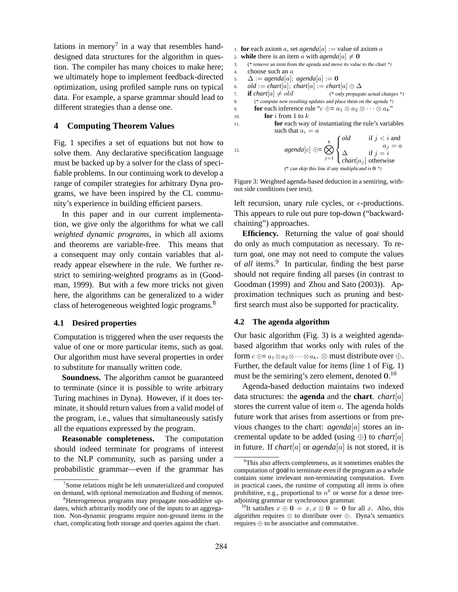lations in memory<sup>7</sup> in a way that resembles handdesigned data structures for the algorithm in question. The compiler has many choices to make here; we ultimately hope to implement feedback-directed optimization, using profiled sample runs on typical data. For example, a sparse grammar should lead to different strategies than a dense one.

### **4 Computing Theorem Values**

Fig. 1 specifies a set of equations but not how to solve them. Any declarative specification language must be backed up by a solver for the class of specifiable problems. In our continuing work to develop a range of compiler strategies for arbitrary Dyna programs, we have been inspired by the CL community's experience in building efficient parsers.

In this paper and in our current implementation, we give only the algorithms for what we call *weighted dynamic programs*, in which all axioms and theorems are variable-free. This means that a consequent may only contain variables that already appear elsewhere in the rule. We further restrict to semiring-weighted programs as in (Goodman, 1999). But with a few more tricks not given here, the algorithms can be generalized to a wider class of heterogeneous weighted logic programs.<sup>8</sup>

#### **4.1 Desired properties**

Computation is triggered when the user requests the value of one or more particular items, such as goal. Our algorithm must have several properties in order to substitute for manually written code.

**Soundness.** The algorithm cannot be guaranteed to terminate (since it is possible to write arbitrary Turing machines in Dyna). However, if it does terminate, it should return values from a valid model of the program, i.e., values that simultaneously satisfy all the equations expressed by the program.

**Reasonable completeness.** The computation should indeed terminate for programs of interest to the NLP community, such as parsing under a probabilistic grammar—even if the grammar has

- 1. **for** each axiom a, set *agenda*[a] := value of axiom a
- 2. **while** there is an item a with  $a$ *genda*[a]  $\neq$  **0**
- 3. (\* remove an item from the agenda and move its value to the chart \*) 4. choose such an a
- 5.  $\Delta := \text{agenda}[a]; \text{agenda}[a] := \mathbf{0}$
- 6. *old* := *chart*[a]; *chart*[a] := *chart*[a]  $\oplus \Delta$
- 7. **if**  $charf[a] \neq old$  (\* only propagate actual changes \*)
- 8. (\* compute new resulting updates and place them on the agenda \*)
- 9. **for** each inference rule " $c \oplus a_1 \otimes a_2 \otimes \cdots \otimes a_k$ "

$$
10. \hspace{1.5cm} \textbf{for } i \text{ from } 1 \text{ to } k
$$

11. **for** each way of instantiating the rule's variables such that  $a_i = a$ 

12. 
$$
agenda[c] \oplus = \bigotimes_{j=1}^{k} \begin{cases} old & \text{if } j < i \text{ and } \\ \Delta & \text{if } j = i \\ chart[a_j] \text{ otherwise} \end{cases}
$$

(\* can skip this line if any multiplicand is  $0$  \*)

 $a_j = a$ 

Figure 3: Weighted agenda-based deduction in a semiring, without side conditions (see text).

left recursion, unary rule cycles, or  $\epsilon$ -productions. This appears to rule out pure top-down ("backwardchaining") approaches.

**Efficiency.** Returning the value of goal should do only as much computation as necessary. To return goal, one may not need to compute the values of *all* items.<sup>9</sup> In particular, finding the best parse should not require finding all parses (in contrast to Goodman (1999) and Zhou and Sato (2003)). Approximation techniques such as pruning and bestfirst search must also be supported for practicality.

### **4.2 The agenda algorithm**

Our basic algorithm (Fig. 3) is a weighted agendabased algorithm that works only with rules of the form  $c \oplus a_1 \otimes a_2 \otimes \cdots \otimes a_k$ .  $\otimes$  must distribute over  $\oplus$ . Further, the default value for items (line 1 of Fig. 1) must be the semiring's zero element, denoted  $0.10$ 

Agenda-based deduction maintains two indexed data structures: the **agenda** and the **chart**. *chart*[a] stores the current value of item a. The agenda holds future work that arises from assertions or from previous changes to the chart: *agenda*[a] stores an incremental update to be added (using ⊕) to *chart*[a] in future. If *chart*[a] or *agenda*[a] is not stored, it is

<sup>&</sup>lt;sup>7</sup>Some relations might be left unmaterialized and computed on demand, with optional memoization and flushing of memos.

<sup>8</sup>Heterogeneous programs may propagate non-additive updates, which arbitrarily modify one of the inputs to an aggregation. Non-dynamic programs require non-ground items in the chart, complicating both storage and queries against the chart.

<sup>&</sup>lt;sup>9</sup>This also affects completeness, as it sometimes enables the computation of goal to terminate even if the program as a whole contains some irrelevant non-terminating computation. Even in practical cases, the runtime of computing all items is often prohibitive, e.g., proportional to  $n^6$  or worse for a dense treeadjoining grammar or synchronous grammar.

<sup>&</sup>lt;sup>10</sup>It satisfies  $x \oplus \mathbf{0} = x, x \otimes \mathbf{0} = \mathbf{0}$  for all x. Also, this algorithm requires ⊗ to distribute over ⊕. Dyna's semantics requires ⊕ to be associative and commutative.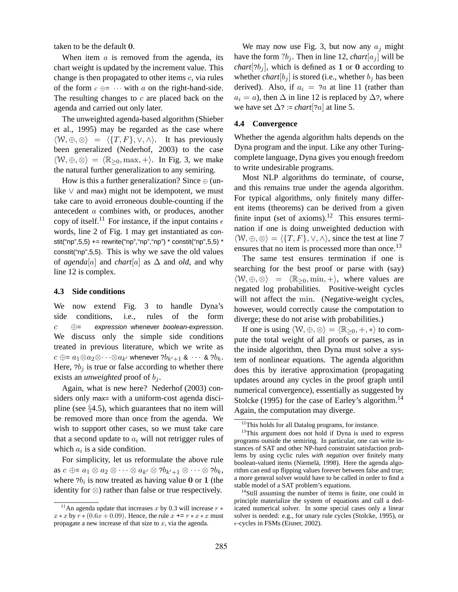taken to be the default 0.

When item  $a$  is removed from the agenda, its chart weight is updated by the increment value. This change is then propagated to other items  $c$ , via rules of the form  $c \oplus = \cdots$  with a on the right-hand-side. The resulting changes to  $c$  are placed back on the agenda and carried out only later.

The unweighted agenda-based algorithm (Shieber et al., 1995) may be regarded as the case where  $\langle W, \oplus, \otimes \rangle = \langle \{T, F\}, \vee, \wedge \rangle$ . It has previously been generalized (Nederhof, 2003) to the case  $\langle W, \oplus, \otimes \rangle = \langle \mathbb{R}_{\geq 0}, \max, +\rangle$ . In Fig. 3, we make the natural further generalization to any semiring.

How is this a further generalization? Since  $\oplus$  (unlike  $\vee$  and max) might not be idempotent, we must take care to avoid erroneous double-counting if the antecedent a combines with, or produces, another copy of itself.<sup>11</sup> For instance, if the input contains  $\epsilon$ words, line 2 of Fig. 1 may get instantiated as constit("np",5,5) += rewrite("np","np","np") \* constit("np",5,5) \* constit("np",5,5). This is why we save the old values of *agenda*[a] and *chart*[a] as  $\Delta$  and *old*, and why line 12 is complex.

### **4.3 Side conditions**

We now extend Fig. 3 to handle Dyna's side conditions, i.e., rules of the form  $c \oplus$  = expression whenever boolean-expression. We discuss only the simple side conditions treated in previous literature, which we write as  $c \oplus$ =  $a_1{\otimes} a_2{\otimes}\cdots{\otimes} a_{k'}$  whenever  $\overline{?b_{k'+1}}$  &  $\cdots$  &  $\overline{?b_k}.$ Here,  $2b_i$  is true or false according to whether there exists an *unweighted* proof of  $b_i$ .

Again, what is new here? Nederhof (2003) considers only max= with a uniform-cost agenda discipline (see §4.5), which guarantees that no item will be removed more than once from the agenda. We wish to support other cases, so we must take care that a second update to  $a_i$  will not retrigger rules of which  $a_i$  is a side condition.

For simplicity, let us reformulate the above rule as  $c \oplus a_1 \otimes a_2 \otimes \cdots \otimes a_{k'} \otimes ?b_{k'+1} \otimes \cdots \otimes ?b_k$ , where  $2b_i$  is now treated as having value 0 or 1 (the identity for ⊗) rather than false or true respectively.

We may now use Fig. 3, but now any  $a_j$  might have the form  $?b_j$ . Then in line 12, *chart*[a<sub>j</sub>] will be *chart*[ $2b_i$ ], which is defined as 1 or 0 according to whether *chart* $[b_i]$  is stored (i.e., whether  $b_i$  has been derived). Also, if  $a_i = ?a$  at line 11 (rather than  $a_i = a$ ), then  $\Delta$  in line 12 is replaced by  $\Delta$ ?, where we have set  $\Delta$ ? := *chart*[?*a*] at line 5.

#### **4.4 Convergence**

Whether the agenda algorithm halts depends on the Dyna program and the input. Like any other Turingcomplete language, Dyna gives you enough freedom to write undesirable programs.

Most NLP algorithms do terminate, of course, and this remains true under the agenda algorithm. For typical algorithms, only finitely many different items (theorems) can be derived from a given finite input (set of axioms).<sup>12</sup> This ensures termination if one is doing unweighted deduction with  $\langle W, \oplus, \otimes \rangle = \langle \{T, F\}, \vee, \wedge \rangle$ , since the test at line 7 ensures that no item is processed more than once.<sup>13</sup>

The same test ensures termination if one is searching for the best proof or parse with (say)  $\langle W, \oplus, \otimes \rangle = \langle \mathbb{R}_{\geq 0}, \min, +\rangle$ , where values are negated log probabilities. Positive-weight cycles will not affect the min. (Negative-weight cycles, however, would correctly cause the computation to diverge; these do not arise with probabilities.)

If one is using  $\langle W, \oplus, \otimes \rangle = \langle \mathbb{R}_{\geq 0}, +, * \rangle$  to compute the total weight of all proofs or parses, as in the inside algorithm, then Dyna must solve a system of nonlinear equations. The agenda algorithm does this by iterative approximation (propagating updates around any cycles in the proof graph until numerical convergence), essentially as suggested by Stolcke (1995) for the case of Earley's algorithm.<sup>14</sup> Again, the computation may diverge.

<sup>&</sup>lt;sup>11</sup>An agenda update that increases x by 0.3 will increase  $r *$  $x * x$  by  $r * (0.6x + 0.09)$ . Hence, the rule  $x \leftrightarrow r * x$  must propagate a new increase of that size to  $x$ , via the agenda.

<sup>&</sup>lt;sup>12</sup>This holds for all Datalog programs, for instance.

<sup>&</sup>lt;sup>13</sup>This argument does not hold if Dyna is used to express programs outside the semiring. In particular, one can write instances of SAT and other NP-hard constraint satisfaction problems by using cyclic rules *with negation* over finitely many boolean-valued items (Niemelä, 1998). Here the agenda algorithm can end up flipping values forever between false and true; a more general solver would have to be called in order to find a stable model of a SAT problem's equations.

<sup>&</sup>lt;sup>14</sup>Still assuming the number of items is finite, one could in principle materialize the system of equations and call a dedicated numerical solver. In some special cases only a linear solver is needed: e.g., for unary rule cycles (Stolcke, 1995), or  $\epsilon$ -cycles in FSMs (Eisner, 2002).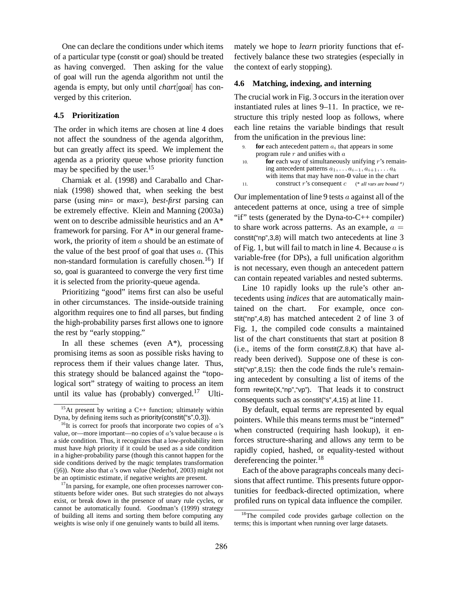One can declare the conditions under which items of a particular type (constit or goal) should be treated as having converged. Then asking for the value of goal will run the agenda algorithm not until the agenda is empty, but only until *chart*[goal] has converged by this criterion.

### **4.5 Prioritization**

The order in which items are chosen at line 4 does not affect the soundness of the agenda algorithm, but can greatly affect its speed. We implement the agenda as a priority queue whose priority function may be specified by the user.<sup>15</sup>

Charniak et al. (1998) and Caraballo and Charniak (1998) showed that, when seeking the best parse (using min= or max=), *best-first* parsing can be extremely effective. Klein and Manning (2003a) went on to describe admissible heuristics and an A\* framework for parsing. For A\* in our general framework, the priority of item  $a$  should be an estimate of the value of the best proof of goal that uses  $a$ . (This non-standard formulation is carefully chosen.<sup>16</sup>) If so, goal is guaranteed to converge the very first time it is selected from the priority-queue agenda.

Prioritizing "good" items first can also be useful in other circumstances. The inside-outside training algorithm requires one to find all parses, but finding the high-probability parses first allows one to ignore the rest by "early stopping."

In all these schemes (even  $A^*$ ), processing promising items as soon as possible risks having to reprocess them if their values change later. Thus, this strategy should be balanced against the "topological sort" strategy of waiting to process an item until its value has (probably) converged.<sup>17</sup> Ultimately we hope to *learn* priority functions that effectively balance these two strategies (especially in the context of early stopping).

### **4.6 Matching, indexing, and interning**

The crucial work in Fig. 3 occurs in the iteration over instantiated rules at lines 9–11. In practice, we restructure this triply nested loop as follows, where each line retains the variable bindings that result from the unification in the previous line:

| 9.  | for each antecedent pattern $a_i$ that appears in some             |
|-----|--------------------------------------------------------------------|
|     | program rule $r$ and unifies with $a$                              |
| 10. | for each way of simultaneously unifying $r$ 's remain-             |
|     | ing antecedent patterns $a_1, \ldots a_{i-1}, a_{i+1}, \ldots a_k$ |
|     | with items that may have non-0 value in the chart                  |
| 11. | construct r's consequent $c$ (* all vars are bound *)              |
|     |                                                                    |

Our implementation of line 9 tests  $a$  against all of the antecedent patterns at once, using a tree of simple "if" tests (generated by the Dyna-to- $C_{++}$  compiler) to share work across patterns. As an example,  $a =$ constit("np",3,8) will match two antecedents at line 3 of Fig. 1, but will fail to match in line 4. Because  $a$  is variable-free (for DPs), a full unification algorithm is not necessary, even though an antecedent pattern can contain repeated variables and nested subterms.

Line 10 rapidly looks up the rule's other antecedents using *indices* that are automatically maintained on the chart. For example, once constit("np",4,8) has matched antecedent 2 of line 3 of Fig. 1, the compiled code consults a maintained list of the chart constituents that start at position 8  $(i.e.,$  items of the form constit $(Z, 8, K)$  that have already been derived). Suppose one of these is constit("vp",8,15): then the code finds the rule's remaining antecedent by consulting a list of items of the form rewrite $(X, \text{``np''}, \text{``vp''}).$  That leads it to construct consequents such as constit("s",4,15) at line 11.

By default, equal terms are represented by equal pointers. While this means terms must be "interned" when constructed (requiring hash lookup), it enforces structure-sharing and allows any term to be rapidly copied, hashed, or equality-tested without dereferencing the pointer.<sup>18</sup>

Each of the above paragraphs conceals many decisions that affect runtime. This presents future opportunities for feedback-directed optimization, where profiled runs on typical data influence the compiler.

 $15$ At present by writing a C++ function; ultimately within Dyna, by defining items such as priority(constit("s",0,3)).

 $16$ It is correct for proofs that incorporate two copies of  $a$ 's value, or—more important—no copies of  $a$ 's value because  $a$  is a side condition. Thus, it recognizes that a low-probability item must have *high* priority if it could be used as a side condition in a higher-probability parse (though this cannot happen for the side conditions derived by the magic templates transformation (§6)). Note also that a's own value (Nederhof, 2003) might not be an optimistic estimate, if negative weights are present.

 $17$ In parsing, for example, one often processes narrower constituents before wider ones. But such strategies do not always exist, or break down in the presence of unary rule cycles, or cannot be automatically found. Goodman's (1999) strategy of building all items and sorting them before computing any weights is wise only if one genuinely wants to build all items.

<sup>&</sup>lt;sup>18</sup>The compiled code provides garbage collection on the terms; this is important when running over large datasets.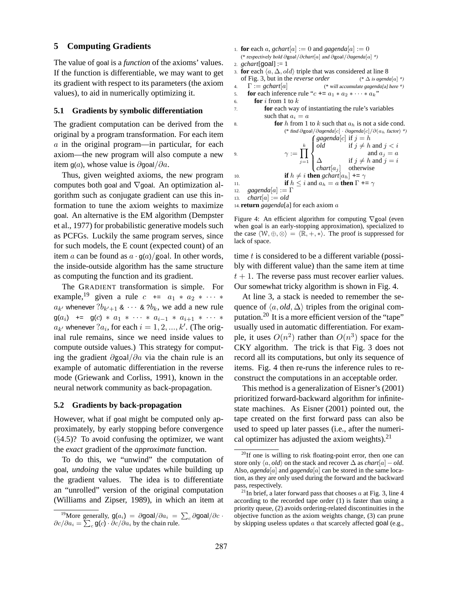### **5 Computing Gradients**

The value of goal is a *function* of the axioms' values. If the function is differentiable, we may want to get its gradient with respect to its parameters (the axiom values), to aid in numerically optimizing it.

### **5.1 Gradients by symbolic differentiation**

The gradient computation can be derived from the original by a program transformation. For each item  $\alpha$  in the original program—in particular, for each axiom—the new program will also compute a new item g(a), whose value is  $\partial$ goal $/\partial a$ .

Thus, given weighted axioms, the new program computes both goal and  $\nabla$  goal. An optimization algorithm such as conjugate gradient can use this information to tune the axiom weights to maximize goal. An alternative is the EM algorithm (Dempster et al., 1977) for probabilistic generative models such as PCFGs. Luckily the same program serves, since for such models, the E count (expected count) of an item a can be found as  $a \cdot g(a)/g$ oal. In other words, the inside-outside algorithm has the same structure as computing the function and its gradient.

The GRADIENT transformation is simple. For example,<sup>19</sup> given a rule  $c \leftarrow a_1 * a_2 * \cdots *$  $a_{k'}$  whenever  $?b_{k'+1}$  &  $\cdots$  &  $?b_k,$  we add a new rule  $g(a_i)$  +=  $g(c) * a_1 * \cdots * a_{i-1} * a_{i+1} * \cdots *$  $a_{k'}$  whenever  $a_i$ , for each  $i = 1, 2, ..., k'$ . (The original rule remains, since we need inside values to compute outside values.) This strategy for computing the gradient ∂goal/∂a via the chain rule is an example of automatic differentiation in the reverse mode (Griewank and Corliss, 1991), known in the neural network community as back-propagation.

#### **5.2 Gradients by back-propagation**

However, what if goal might be computed only approximately, by early stopping before convergence  $(\S4.5)$ ? To avoid confusing the optimizer, we want the *exact* gradient of the *approximate* function.

To do this, we "unwind" the computation of goal, *undoing* the value updates while building up the gradient values. The idea is to differentiate an "unrolled" version of the original computation (Williams and Zipser, 1989), in which an item at

```
1. for each a, gchart[a] := 0 and gagenda[a] := 0(* respectively hold ∂goal/∂chart[a] and ∂goal/∂agenda[a] *)
2. gchart[goal] := 1
3. for each \langle a, \Delta, old \rangle triple that was considered at line 8
  of Fig. 3, but in the reverse order (* ∆ is agenda[a] *)
4. Γ := gchart[a] (* will accumulate gagenda[a] here *)
5. for each inference rule "c \leftrightarrow a_1 * a_2 * \cdots * a_k"
```

```
6. for i from 1 to k
```
7. **for** each way of instantiating the rule's variables such that  $a_i = a$ 

```
8. for h from 1 to k such that a_h is not a side cond.
                    (* find ∂goal/∂agenda[c] · ∂agenda[c]/∂(ah factor) *)
9. \gamma := \prod^kj=1\intgagenda[c] if j = h\int\begin{cases} \Delta & \text{if } j \neq h \text{ and} \\ \text{chart}[a_j] & \text{otherwise} \end{cases}old if j \neq h and j < iand a_i = a\Delta if j \neq h and j = i10. if h \neq i then gchart[a_h] += \gamma11. if h \leq i and a_h = a then \Gamma += \gamma12. gagenda[a] := Γ
13. char[a] := old
```
14. **return** *gagenda*[a] for each axiom a

Figure 4: An efficient algorithm for computing ∇goal (even when goal is an early-stopping approximation), specialized to the case  $\langle W, \oplus, \otimes \rangle = \langle \mathbb{R}, +, * \rangle$ . The proof is suppressed for lack of space.

time  $t$  is considered to be a different variable (possibly with different value) than the same item at time  $t + 1$ . The reverse pass must recover earlier values. Our somewhat tricky algorithm is shown in Fig. 4.

At line 3, a stack is needed to remember the sequence of  $\langle a, old, \Delta \rangle$  triples from the original computation.<sup>20</sup> It is a more efficient version of the "tape" usually used in automatic differentiation. For example, it uses  $O(n^2)$  rather than  $O(n^3)$  space for the CKY algorithm. The trick is that Fig. 3 does not record all its computations, but only its sequence of items. Fig. 4 then re-runs the inference rules to reconstruct the computations in an acceptable order.

This method is a generalization of Eisner's (2001) prioritized forward-backward algorithm for infinitestate machines. As Eisner (2001) pointed out, the tape created on the first forward pass can also be used to speed up later passes (i.e., after the numerical optimizer has adjusted the axiom weights). $^{21}$ 

<sup>&</sup>lt;sup>19</sup>More generally,  $g(a_i) = \partial g \cdot \partial a_i = \sum_c \partial g \cdot \partial a^i/\partial c$ .  $\partial c/\partial a_i = \sum_c \mathsf{g}(c) \cdot \partial c/\partial a_i$  by the chain rule.

<sup>&</sup>lt;sup>20</sup>If one is willing to risk floating-point error, then one can store only  $\langle a, old \rangle$  on the stack and recover  $\Delta$  as *chart*[a] – *old*. Also, *agenda*[a] and *gagenda*[a] can be stored in the same location, as they are only used during the forward and the backward pass, respectively.

<sup>&</sup>lt;sup>21</sup>In brief, a later forward pass that chooses  $a$  at Fig. 3, line 4 according to the recorded tape order (1) is faster than using a priority queue, (2) avoids ordering-related discontinuities in the objective function as the axiom weights change, (3) can prune by skipping useless updates  $\alpha$  that scarcely affected goal (e.g.,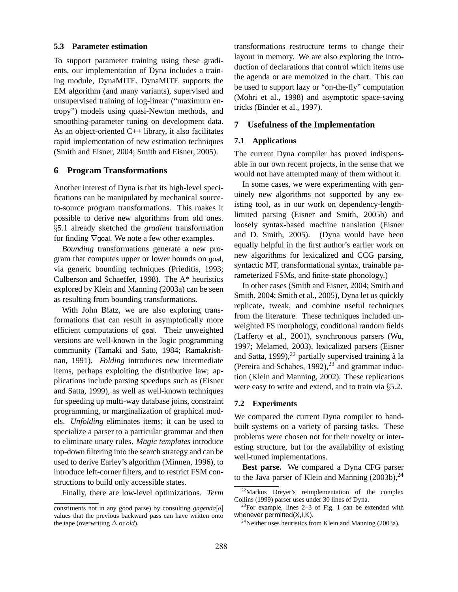#### **5.3 Parameter estimation**

To support parameter training using these gradients, our implementation of Dyna includes a training module, DynaMITE. DynaMITE supports the EM algorithm (and many variants), supervised and unsupervised training of log-linear ("maximum entropy") models using quasi-Newton methods, and smoothing-parameter tuning on development data. As an object-oriented  $C_{++}$  library, it also facilitates rapid implementation of new estimation techniques (Smith and Eisner, 2004; Smith and Eisner, 2005).

### **6 Program Transformations**

Another interest of Dyna is that its high-level specifications can be manipulated by mechanical sourceto-source program transformations. This makes it possible to derive new algorithms from old ones. §5.1 already sketched the *gradient* transformation for finding  $\nabla$  goal. We note a few other examples.

*Bounding* transformations generate a new program that computes upper or lower bounds on goal, via generic bounding techniques (Prieditis, 1993; Culberson and Schaeffer, 1998). The A\* heuristics explored by Klein and Manning (2003a) can be seen as resulting from bounding transformations.

With John Blatz, we are also exploring transformations that can result in asymptotically more efficient computations of goal. Their unweighted versions are well-known in the logic programming community (Tamaki and Sato, 1984; Ramakrishnan, 1991). *Folding* introduces new intermediate items, perhaps exploiting the distributive law; applications include parsing speedups such as (Eisner and Satta, 1999), as well as well-known techniques for speeding up multi-way database joins, constraint programming, or marginalization of graphical models. *Unfolding* eliminates items; it can be used to specialize a parser to a particular grammar and then to eliminate unary rules. *Magic templates* introduce top-down filtering into the search strategy and can be used to derive Earley's algorithm (Minnen, 1996), to introduce left-corner filters, and to restrict FSM constructions to build only accessible states.

Finally, there are low-level optimizations. *Term*

transformations restructure terms to change their layout in memory. We are also exploring the introduction of declarations that control which items use the agenda or are memoized in the chart. This can be used to support lazy or "on-the-fly" computation (Mohri et al., 1998) and asymptotic space-saving tricks (Binder et al., 1997).

### **7 Usefulness of the Implementation**

### **7.1 Applications**

The current Dyna compiler has proved indispensable in our own recent projects, in the sense that we would not have attempted many of them without it.

In some cases, we were experimenting with genuinely new algorithms not supported by any existing tool, as in our work on dependency-lengthlimited parsing (Eisner and Smith, 2005b) and loosely syntax-based machine translation (Eisner and D. Smith, 2005). (Dyna would have been equally helpful in the first author's earlier work on new algorithms for lexicalized and CCG parsing, syntactic MT, transformational syntax, trainable parameterized FSMs, and finite-state phonology.)

In other cases (Smith and Eisner, 2004; Smith and Smith, 2004; Smith et al., 2005), Dyna let us quickly replicate, tweak, and combine useful techniques from the literature. These techniques included unweighted FS morphology, conditional random fields (Lafferty et al., 2001), synchronous parsers (Wu, 1997; Melamed, 2003), lexicalized parsers (Eisner and Satta, 1999),<sup>22</sup> partially supervised training à la (Pereira and Schabes, 1992), $^{23}$  and grammar induction (Klein and Manning, 2002). These replications were easy to write and extend, and to train via §5.2.

### **7.2 Experiments**

We compared the current Dyna compiler to handbuilt systems on a variety of parsing tasks. These problems were chosen not for their novelty or interesting structure, but for the availability of existing well-tuned implementations.

**Best parse.** We compared a Dyna CFG parser to the Java parser of Klein and Manning  $(2003b)$ ,<sup>24</sup>

constituents not in any good parse) by consulting *gagenda*[a] values that the previous backward pass can have written onto the tape (overwriting ∆ or *old*).

 $22$ Markus Dreyer's reimplementation of the complex Collins (1999) parser uses under 30 lines of Dyna.

 $23$ For example, lines 2-3 of Fig. 1 can be extended with whenever permitted(X,I,K).

<sup>&</sup>lt;sup>24</sup>Neither uses heuristics from Klein and Manning  $(2003a)$ .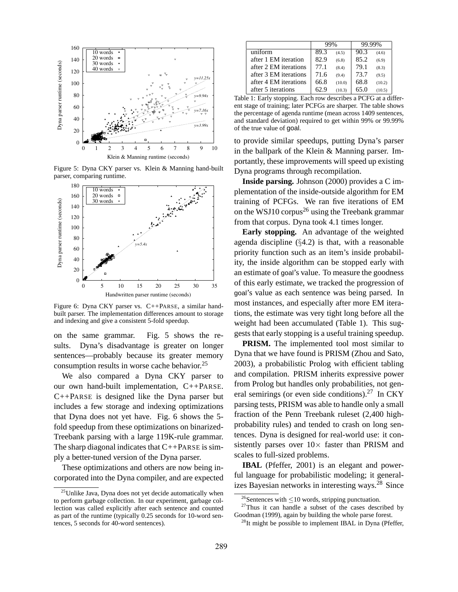

Figure 5: Dyna CKY parser vs. Klein & Manning hand-built parser, comparing runtime.



Figure 6: Dyna CKY parser vs. C++PARSE, a similar handbuilt parser. The implementation differences amount to storage and indexing and give a consistent 5-fold speedup.

on the same grammar. Fig. 5 shows the results. Dyna's disadvantage is greater on longer sentences—probably because its greater memory consumption results in worse cache behavior.<sup>25</sup>

We also compared a Dyna CKY parser to our own hand-built implementation, C++PARSE. C++PARSE is designed like the Dyna parser but includes a few storage and indexing optimizations that Dyna does not yet have. Fig. 6 shows the 5 fold speedup from these optimizations on binarized-Treebank parsing with a large 119K-rule grammar. The sharp diagonal indicates that  $C++PARSE$  is simply a better-tuned version of the Dyna parser.

These optimizations and others are now being incorporated into the Dyna compiler, and are expected

|                       | 99%  |        | 99.99% |        |
|-----------------------|------|--------|--------|--------|
| uniform               | 89.3 | (4.5)  | 90.3   | (4.6)  |
| after 1 EM iteration  | 82.9 | (6.8)  | 85.2   | (6.9)  |
| after 2 EM iterations | 77.1 | (8.4)  | 79.1   | (8.3)  |
| after 3 EM iterations | 71.6 | (9.4)  | 73.7   | (9.5)  |
| after 4 EM iterations | 66.8 | (10.0) | 68.8   | (10.2) |
| after 5 iterations    | 62.9 | (10.3) | 65 በ   | (10.5) |

Table 1: Early stopping. Each row describes a PCFG at a different stage of training; later PCFGs are sharper. The table shows the percentage of agenda runtime (mean across 1409 sentences, and standard deviation) required to get within 99% or 99.99% of the true value of goal.

to provide similar speedups, putting Dyna's parser in the ballpark of the Klein & Manning parser. Importantly, these improvements will speed up existing Dyna programs through recompilation.

**Inside parsing.** Johnson (2000) provides a C implementation of the inside-outside algorithm for EM training of PCFGs. We ran five iterations of EM on the WSJ10 corpus<sup>26</sup> using the Treebank grammar from that corpus. Dyna took 4.1 times longer.

**Early stopping.** An advantage of the weighted agenda discipline (§4.2) is that, with a reasonable priority function such as an item's inside probability, the inside algorithm can be stopped early with an estimate of goal's value. To measure the goodness of this early estimate, we tracked the progression of goal's value as each sentence was being parsed. In most instances, and especially after more EM iterations, the estimate was very tight long before all the weight had been accumulated (Table 1). This suggests that early stopping is a useful training speedup.

**PRISM.** The implemented tool most similar to Dyna that we have found is PRISM (Zhou and Sato, 2003), a probabilistic Prolog with efficient tabling and compilation. PRISM inherits expressive power from Prolog but handles only probabilities, not general semirings (or even side conditions).<sup>27</sup> In CKY parsing tests, PRISM was able to handle only a small fraction of the Penn Treebank ruleset (2,400 highprobability rules) and tended to crash on long sentences. Dyna is designed for real-world use: it consistently parses over  $10\times$  faster than PRISM and scales to full-sized problems.

**IBAL** (Pfeffer, 2001) is an elegant and powerful language for probabilistic modeling; it generalizes Bayesian networks in interesting ways.<sup>28</sup> Since

<sup>&</sup>lt;sup>25</sup>Unlike Java, Dyna does not yet decide automatically when to perform garbage collection. In our experiment, garbage collection was called explicitly after each sentence and counted as part of the runtime (typically 0.25 seconds for 10-word sentences, 5 seconds for 40-word sentences).

<sup>&</sup>lt;sup>26</sup>Sentences with  $\leq$ 10 words, stripping punctuation.

 $27$ Thus it can handle a subset of the cases described by Goodman (1999), again by building the whole parse forest.

 $^{28}$ It might be possible to implement IBAL in Dyna (Pfeffer,